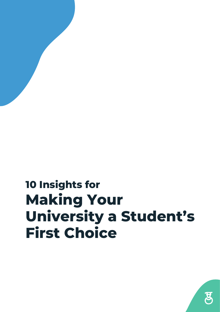#### **10 Insights for Making Your University a Student's First Choice**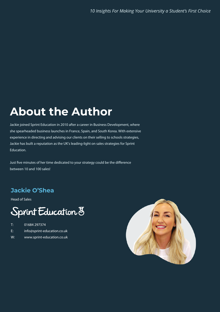#### **About the Author About the Author**

Jackie joined Sprint Education in 2010 after a career in Business Development, where she spearheaded business launches in France, Spain, and South Korea. With extensive experience in directing and advising our clients on their selling to schools strategies, Jackie has built a reputation as the UK's leading-light on sales strategies for Sprint Education.

Just five minutes of her time dedicated to your strategy could be the difference between 10 and 100 sales!

#### **Jackie O'Shea Jackie O'Shea**

Head of Sales

#### Sprint Education 8

- T: 01684 297374
- E: info@sprint-education.co.uk
- W: www.sprint-education.co.uk

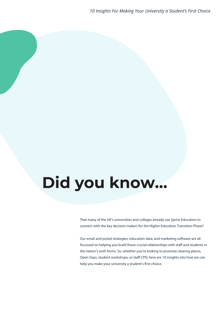# **Did you know…**

That many of the UK's universities and colleges already use Sprint Education to connect with the key decision makers for the Higher Education Transition Phase?

Our email and postal strategies, education data, and marketing software are all focussed on helping you build those crucial relationships with staff and students in the nation's sixth forms. So, whether you're looking to promote clearing places, Open Days, student workshops, or staff CPD; here are 10 insights into how we can help you make your university a student's first choice.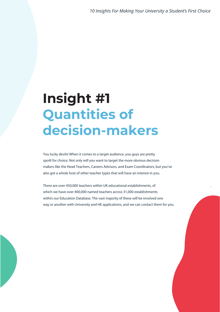.

#### **Insight #1 Quantities of decision-makers**

You lucky devils! When it comes to a target audience, you guys are pretty spoilt for choice. Not only will you want to target the more obvious decision makers like the Head Teachers, Careers Advisors, and Exam Coordinators, but you've also got a whole host of other teacher types that will have an interest in you.

There are over 450,000 teachers within UK educational establishments, of which we have over 400,000 named teachers across 31,000 establishments within our Education Database. The vast majority of these will be involved one way or another with University and HE applications, and we can contact them for you.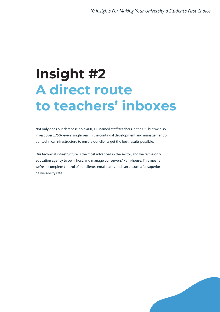### **Insight #2 A direct route to teachers' inboxes**

Not only does our database hold 400,000 named staff/teachers in the UK, but we also invest over £750k every single year in the continual development and management of our technical infrastructure to ensure our clients get the best results possible.

Our technical infrastructure is the most advanced in the sector, and we're the only education agency to own, host, and manage our servers/IPs in-house. This means we're in complete control of our clients' email paths and can ensure a far superior deliverability rate.

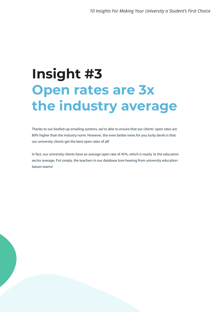## **Insight #3 Open rates are 3x the industry average**

Thanks to our beefed-up emailing systems, we're able to ensure that our clients' open rates are 80% higher than the industry norm. However, the even better news for you lucky devils is that our university clients get the best open rates of all!

In fact, our university clients have an average open rate of 45%, which is nearly 3x the education sector average. Put simply, the teachers in our database love hearing from university education liaison teams!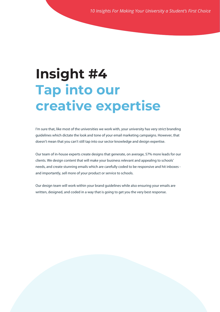#### **Insight #4 Tap into our creative expertise**

I'm sure that, like most of the universities we work with, your university has very strict branding guidelines which dictate the look and tone of your email marketing campaigns. However, that doesn't mean that you can't still tap into our sector knowledge and design expertise.

Our team of in-house experts create designs that generate, on average, 57% more leads for our clients. We design content that will make your business relevant and appealing to schools' needs, and create stunning emails which are carefully coded to be responsive and hit inboxes and importantly, sell more of your product or service to schools.

Our design team will work within your brand guidelines while also ensuring your emails are written, designed, and coded in a way that is going to get you the very best response.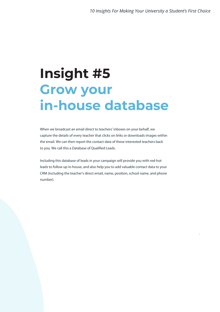.

#### **Insight #5 Grow your in-house database**

When we broadcast an email direct to teachers' inboxes on your behalf, we capture the details of every teacher that clicks on links or downloads images within the email. We can then report the contact data of these interested teachers back to you. We call this a Database of Qualified Leads.

Including this database of leads in your campaign will provide you with red-hot leads to follow up in-house, and also help you to add valuable contact data to your CRM (including the teacher's direct email, name, position, school name, and phone number).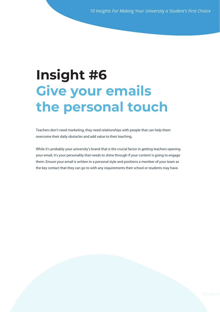#### **Live you Une persor Insight #6 Give your emails the personal touch**

**Teachers don't need marketing, they need relationships v** Teachers don't need marketing, they need relationships with people that can help them overcome their daily obstacles and add value to their teaching.

While it's probably your university's brand that is the crucial factor in getting teachers opening your email, it's your personality that needs to shine through if your content is going to engage the key contact that they can go to with any requirements their school or students may have. them. Ensure your email is written in a personal style and positions a member of your team as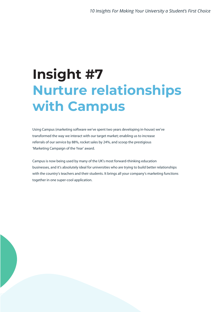### **Insight #7 Nurture relationships with Campus**

Using Campus (marketing software we've spent two years developing in-house) we've transformed the way we interact with our target market; enabling us to increase referrals of our service by 88%, rocket sales by 24%, and scoop the prestigious 'Marketing Campaign of the Year' award.

Campus is now being used by many of the UK's most forward-thinking education businesses, and it's absolutely ideal for universities who are trying to build better relationships with the country's teachers and their students. It brings all your company's marketing functions together in one super-cool application.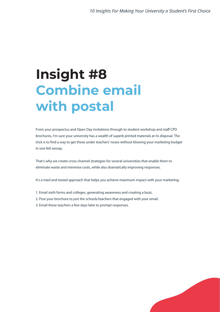### **Insight #8 Combine email with postal**

From your prospectus and Open Day invitations through to student workshop and staff CPD brochures, I'm sure your university has a wealth of superb printed materials at its disposal. The trick is to find a way to get these under teachers' noses without blowing your marketing budget in one fell swoop.

That's why we create cross-channel strategies for several universities that enable them to eliminate waste and minimise costs, while also dramatically improving responses.

It's a tried and tested approach that helps you achieve maximum impact with your marketing:

- 1. Email sixth forms and colleges, generating awareness and creating a buzz.
- 2. Post your brochure to just the schools/teachers that engaged with your email.
- 3. Email these teachers a few days later to prompt responses.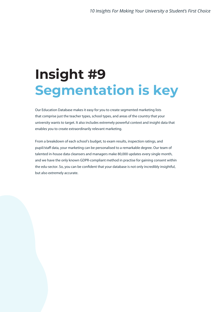## **Insight #9 Segmentation is key**

Our Education Database makes it easy for you to create segmented marketing lists that comprise just the teacher types, school types, and areas of the country that your university wants to target. It also includes extremely powerful context and insight data that enables you to create extraordinarily relevant marketing.

From a breakdown of each school's budget, to exam results, inspection ratings, and pupil/staff data, your marketing can be personalised to a remarkable degree. Our team of talented in-house data cleansers and managers make 80,000 updates every single month, and we have the only known GDPR-compliant method in practise for gaining consent within the edu-sector. So, you can be confident that your database is not only incredibly insightful, but also extremely accurate.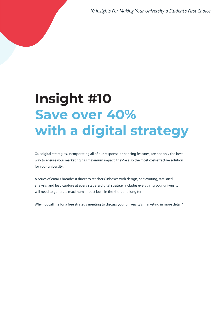*10 Insights For Making Your University a Student's First Choice*

### **Insight #10 Save over 40% with a digital strategy**

Our digital strategies, incorporating all of our response-enhancing features, are not only the best way to ensure your marketing has maximum impact; they're also the most cost-effective solution for your university.

A series of emails broadcast direct to teachers' inboxes with design, copywriting, statistical analysis, and lead capture at every stage; a digital strategy includes everything your university will need to generate maximum impact both in the short and long term.

Why not call me for a free strategy meeting to discuss your university's marketing in more detail?